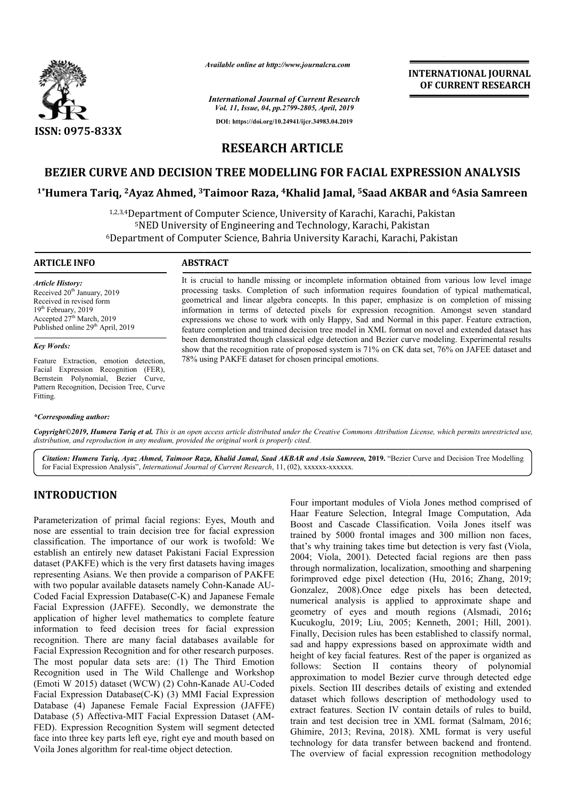

*Available online at http://www.journalcra.com*

# **INTERNATIONAL JOURNAL OF CURRENT RESEARCH**

*International Journal of Current Research Vol. 11, Issue, 04, pp.2799-2805, April, 2019* **DOI: https://doi.org/10.24941/ijcr.34983.04.2019**

# **RESEARCH ARTICLE**

# BEZIER CURVE AND DECISION TREE MODELLING FOR FACIAL EXPRESSION ANALYSIS<br>Humera Tariq, <sup>2</sup>Ayaz Ahmed, <sup>3</sup>Taimoor Raza, <sup>4</sup>Khalid Jamal, <sup>5</sup>Saad AKBAR and <sup>6</sup>Asia Samreen **1\*Humera Tariq, 2Ayaz Ahmed, 3Taimoor Raza, Taimoor 4Khalid Jamal, 5Saad AKBA**

1,2,3,4 Department of Computer Science, University of Karachi, Karachi, Pakistan 5NED University of Engineering and Technology, Karachi, Pakistan <sup>5</sup>NED University of Engineering and Technology, Karachi, Pakistan<br>6Department of Computer Science, Bahria University Karachi, Karachi, Pakistan

### **ARTICLE INFO ABSTRACT**

*Article History:* Received 20<sup>th</sup> January, 2019 Received in revised form 19<sup>th</sup> February, 2019 Accepted 27<sup>th</sup> March, 2019 Published online 29<sup>th</sup> April, 2019

#### *Key Words:*

Feature Extraction, emotion detection, Facial Expression Recognition (FER), Bernstein Polynomial, Bezier Curve, Pattern Recognition, Decision Tree, Curve Fitting.

### *\*Corresponding author:*

It is crucial to handle missing or incomplete information obtained from various low level image processing tasks. Completion of such information requires foundation of typical mathematical, geometrical and linear algebra concepts. In this paper, emphasize is on completion of missing information in terms of detected pixels for expression recognition. Amongst seven standard expressions we chose to work with only Happy, Sad and Normal in this paper. feature completion and trained decision tree model in XML format on novel and extended dataset has feature completion and trained decision tree model in XML format on novel and extended dataset has<br>been demonstrated though classical edge detection and Bezier curve modeling. Experimental results show that the recognition rate of proposed system is 71% on CK data set, 76% on JAFEE dataset and 78% using PAKFE dataset for chosen principal emotions. It is crucial to handle missing or incomplete information obtained from various low level image<br>processing tasks. Completion of such information requires foundation of typical mathematical,<br>geometrical and linear algebra c

Copyright©2019, Humera Tariq et al. This is an open access article distributed under the Creative Commons Attribution License, which permits unrestricted use, *distribution, and reproduction in any medium, provided the original work is properly cited.*

Citation: Humera Tariq, Ayaz Ahmed, Taimoor Raza, Khalid Jamal, Saad AKBAR and Asia Samreen, 2019. "Bezier Curve and Decision Tree Modelling for Facial Expression Analysis", *International Journal of Current Research*, 11, (02), xxxxxx-xxxxxx.

# **INTRODUCTION**

Parameterization of primal facial regions: Eyes, Mouth and nose are essential to train decision tree for facial expression classification. The importance of our work is twofold: We establish an entirely new dataset Pakistani Facial Expression dataset (PAKFE) which is the very first datasets having images representing Asians. We then provide a comparison of PAKFE with two popular available datasets namely Cohn-Kanade AU-Coded Facial Expression Database(C-K) and Japanese Female Facial Expression (JAFFE). Secondly, we demonstrate the application of higher level mathematics to complete feature information to feed decision trees for facial expression recognition. There are many facial databases available for Facial Expression Recognition and for other research purposes. The most popular data sets are: (1) The Third Emotion Recognition used in The Wild Challenge and Workshop (Emoti W 2015) dataset (WCW) (2) Cohn-Kanade AU Kanade AU-Coded Facial Expression Database(C-K) (3) MMI Facial Expression Database (4) Japanese Female Facial Expression (JAFFE) Database (5) Affectiva-MIT Facial Expression Dataset (AM FED). Expression Recognition System will segment detected face into three key parts left eye, right eye and mouth based on Voila Jones algorithm for real-time object detection. E) which is the very first datasets having images<br>sians. We then provide a comparison of PAKFE<br>lar available datasets namely Cohn-Kanade AU-K) and Japanese Female<br>ly, we demonstrate the<br>tics to complete feature<br>for facial expression<br>databases available for<br>other research purposes.<br>1) The Third Emotion pase(C-K) (3) MMI Facial Expression<br>Female Facial Expression (JAFFE)<br>MIT Facial Expression Dataset (AM-

Four important modules of Viola Jones method comprised of<br>
Four important modules of Viola Jones method compration<br>
From Feature Selection, Integral Image Computation, Ada<br>
isosion tree for facial expression<br>
Boost and Cas Haar Feature Selection, Integral Image Computation, Ada Boost and Cascade Classification. Voila Jones itself w trained by 5000 frontal images and 300 million non faces, trained by 5000 frontal images and 300 million non faces, that's why training takes time but detection is very fast (Viola, 2004; Viola, 2001). Detected facial regions are then pass through normalization, localization, smoothing and sharpening forimproved edge pixel detection (Hu, 2016; Zhang, 2019; Gonzalez, 2008).Once edge pixels has been detected, numerical analysis is applied to approximate shape and geometry of eyes and mouth regions (Alsmadi, 2016; Kucukoglu, 2019; Liu, 2005; Kenneth, 2001; Hill, 2001). Finally, Decision rules has been established to classify normal, sad and happy expressions based on approximate width and height of key facial features. Rest of the paper is organized as follows: Section II contains theory of polynomial approximation to model Bezier curve through detected edge pixels. Section III describes details of existing and extended dataset which follows description of methodology used to extract features. Section IV contain details of rules to build, train and test decision tree in XML format (Salmam, 2016; Ghimire, 2013; Revina, 2018 , 2018). XML format is very useful technology for data transfer between backend and frontend. The overview of facial expression recognition methodology ant modules of Viola Jones method comprised of<br>re Selection, Integral Image Computation, Ada<br>Cascade Classification. Voila Jones itself was 2004; Viola, 2001). Detected facial regions are then pass through normalization, localization, smoothing and sharpening for<br>improved edge pixel detection (Hu, 2016; Zhang, 2019; 08).Once edge pixels has been detected, lysis is applied to approximate shape and eyes and mouth regions (Alsmadi, 2016; Finally, Decision rules has been established to classify normal, sad and happy expressions based on approximate width and height of key facial features. Rest of the paper is organized as follows: Section II contains theory Section III describes details of existing and extended<br>which follows description of methodology used to<br>features. Section IV contain details of rules to build,<br>ad test decision tree in XML format (Salmam, 2016; **INTERNATIONAL JOUENAL CONTRAINMENT (SCRIMER)**<br> **OF CURRENT RESEARCH**<br> **OF CURRENT RESEARCH**<br> **CIAL EXPRESSION ANALYSIS**<br> **Staad AKBAR and <sup>6</sup> Asia Samreen**<br>
thi, Karachi, Pakistan<br>
cinclin, Karachi, Pakistan<br>
centralis, N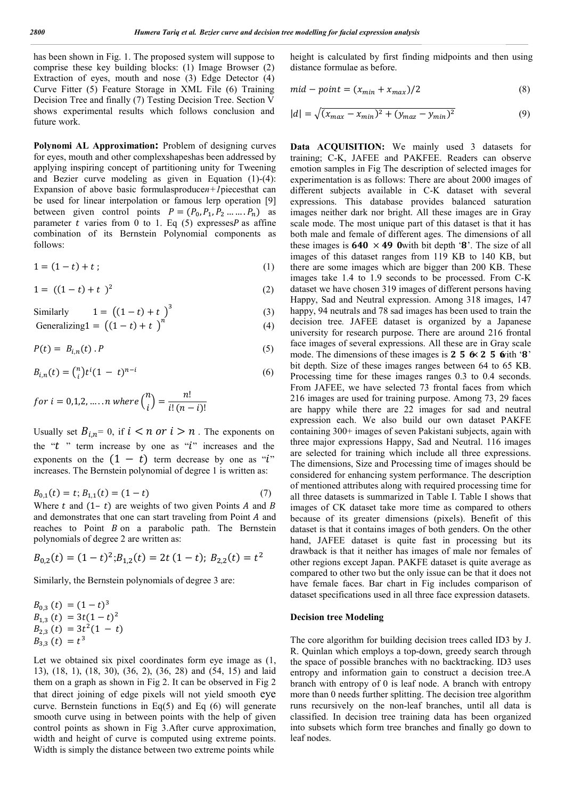has been shown in Fig. 1. The proposed system will suppose to comprise these key building blocks: (1) Image Browser (2) Extraction of eyes, mouth and nose (3) Edge Detector (4) Curve Fitter (5) Feature Storage in XML File (6) Training Decision Tree and finally (7) Testing Decision Tree. Section V shows experimental results which follows conclusion and future work.

**Polynomi AL Approximation:** Problem of designing curves for eyes, mouth and other complexshapeshas been addressed by applying inspiring concept of partitioning unity for Tweening and Bezier curve modeling as given in Equation (1)-(4): Expansion of above basic formulasproduce*n+1*piecesthat can be used for linear interpolation or famous lerp operation [9] between given control points  $P = (P_0, P_1, P_2 \dots P_n)$  as parameter  $t$  varies from 0 to 1. Eq (5) expresses  $P$  as affine combination of its Bernstein Polynomial components as follows:

$$
1 = (1 - t) + t \tag{1}
$$

$$
1 = ((1 - t) + t)^2 \tag{2}
$$

Similarly 
$$
1 = ((1 - t) + t)^3
$$
 (3)

Generalizing 
$$
1 = ((1 - t) + t)^n
$$
 (4)

$$
P(t) = B_{i,n}(t) . P \tag{5}
$$

$$
B_{i,n}(t) = {n \choose i} t^i (1-t)^{n-i}
$$
 (6)

f or  $i = 0,1,2,...\, n$  where  ${n \choose k}$  $\binom{n}{i} = \frac{n!}{i!(n-i)!}$ 

Usually set  $B_{i,n} = 0$ , if  $i < n$  or  $i > n$ . The exponents on the " $t$ " term increase by one as " $i$ " increases and the exponents on the  $(1 - t)$  term decrease by one as " $i$ " increases. The Bernstein polynomial of degree 1 is written as:

$$
B_{0,1}(t) = t; B_{1,1}(t) = (1 - t)
$$
\n(7)

Where t and  $(1-t)$  are weights of two given Points A and B and demonstrates that one can start traveling from Point  $A$  and reaches to Point  $B$  on a parabolic path. The Bernstein polynomials of degree 2 are written as:

$$
B_{0,2}(t) = (1-t)^2; B_{1,2}(t) = 2t (1-t); B_{2,2}(t) = t^2
$$

Similarly, the Bernstein polynomials of degree 3 are:

$$
B_{0,3} (t) = (1-t)^3
$$
  
\n
$$
B_{1,3} (t) = 3t(1-t)^2
$$
  
\n
$$
B_{2,3} (t) = 3t^2(1-t)
$$
  
\n
$$
B_{3,3} (t) = t^3
$$

Let we obtained six pixel coordinates form eye image as  $(1, 1)$ 13), (18, 1), (18, 30), (36, 2), (36, 28) and (54, 15) and laid them on a graph as shown in Fig 2. It can be observed in Fig 2 that direct joining of edge pixels will not yield smooth eye curve. Bernstein functions in  $Eq(5)$  and Eq (6) will generate smooth curve using in between points with the help of given control points as shown in Fig 3.After curve approximation, width and height of curve is computed using extreme points. Width is simply the distance between two extreme points while

height is calculated by first finding midpoints and then using distance formulae as before.

$$
mid-point = (x_{min} + x_{max})/2
$$
\n(8)

$$
|d| = \sqrt{(x_{max} - x_{min})^2 + (y_{max} - y_{min})^2}
$$
 (9)

Data ACQUISITION: We mainly used 3 datasets for training; C-K, JAFEE and PAKFEE. Readers can observe emotion samples in Fig The description of selected images for experimentation is as follows: There are about 2000 images of different subjects available in C-K dataset with several expressions. This database provides balanced saturation images neither dark nor bright. All these images are in Gray scale mode. The most unique part of this dataset is that it has both male and female of different ages. The dimensions of all these images is  $640 \times 490$  with bit depth '8'. The size of all images of this dataset ranges from 119 KB to 140 KB, but there are some images which are bigger than 200 KB. These images take 1.4 to 1.9 seconds to be processed. From C-K dataset we have chosen 319 images of different persons having Happy, Sad and Neutral expression. Among 318 images, 147 happy, 94 neutrals and 78 sad images has been used to train the decision tree*.* JAFEE dataset is organized by a Japanese university for research purpose. There are around 216 frontal face images of several expressions. All these are in Gray scale mode. The dimensions of these images is 2 5  $6 \times 2$  5  $6$ ith '8' bit depth. Size of these images ranges between 64 to 65 KB. Processing time for these images ranges 0.3 to 0.4 seconds. From JAFEE, we have selected 73 frontal faces from which 216 images are used for training purpose. Among 73, 29 faces are happy while there are 22 images for sad and neutral expression each. We also build our own dataset PAKFE containing 300+ images of seven Pakistani subjects, again with three major expressions Happy, Sad and Neutral. 116 images are selected for training which include all three expressions. The dimensions, Size and Processing time of images should be considered for enhancing system performance. The description of mentioned attributes along with required processing time for all three datasets is summarized in Table I. Table I shows that images of CK dataset take more time as compared to others because of its greater dimensions (pixels). Benefit of this dataset is that it contains images of both genders. On the other hand, JAFEE dataset is quite fast in processing but its drawback is that it neither has images of male nor females of other regions except Japan. PAKFE dataset is quite average as compared to other two but the only issue can be that it does not have female faces. Bar chart in Fig includes comparison of dataset specifications used in all three face expression datasets.

#### **Decision tree Modeling**

The core algorithm for building decision trees called ID3 by J. R. Quinlan which employs a top-down, greedy search through the space of possible branches with no backtracking. ID3 uses entropy and information gain to construct a decision tree.A branch with entropy of 0 is leaf node. A branch with entropy more than 0 needs further splitting. The decision tree algorithm runs recursively on the non-leaf branches, until all data is classified. In decision tree training data has been organized into subsets which form tree branches and finally go down to leaf nodes.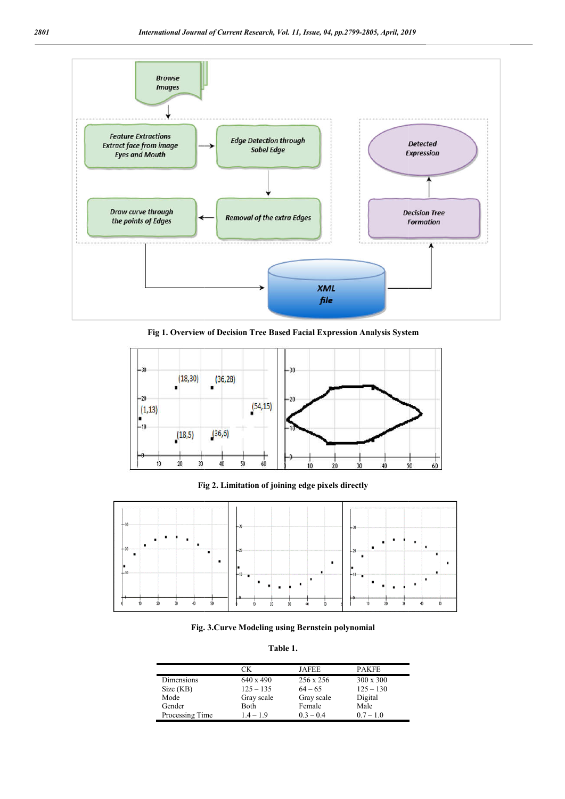

**Fig 1. Overview of Decision Tree Based Facial Expression Analysis System** 



**Fig 2. Limitation of joining edge pixels directly**



**Fig. . 3.Curve Modeling using Bernstein polynomial**

**Table 1.**

|                 | CК          | JAFEE       | <b>PAKFE</b>     |
|-----------------|-------------|-------------|------------------|
| Dimensions      | 640 x 490   | 256 x 256   | $300 \times 300$ |
| Size (KB)       | $125 - 135$ | $64 - 65$   | $125 - 130$      |
| Mode            | Gray scale  | Gray scale  | Digital          |
| Gender          | <b>Both</b> | Female      | Male             |
| Processing Time | $1.4 - 1.9$ | $0.3 - 0.4$ | $0.7 - 1.0$      |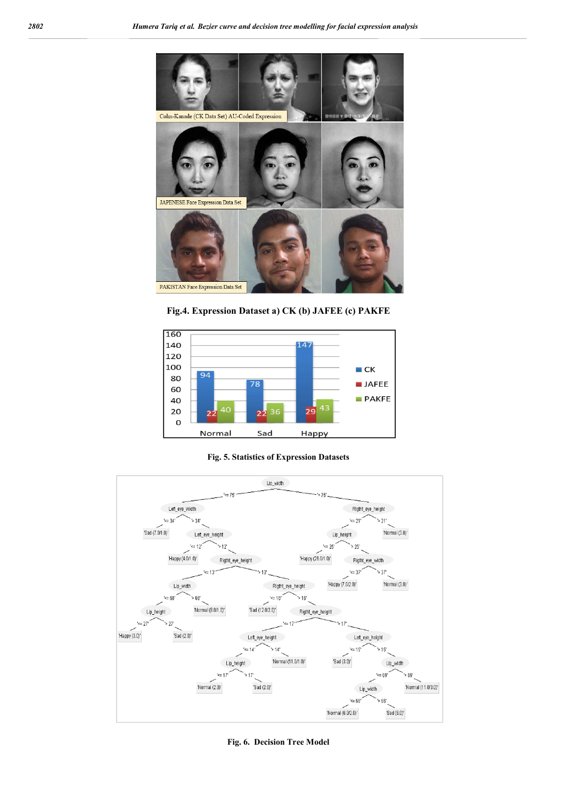

**Fig.4. Expression Dataset a) CK (b) JAFEE (c) PAKFE**



**Fig. 5. Statistics of Expression Datasets**



**Fig. 6. Decision Tree Model**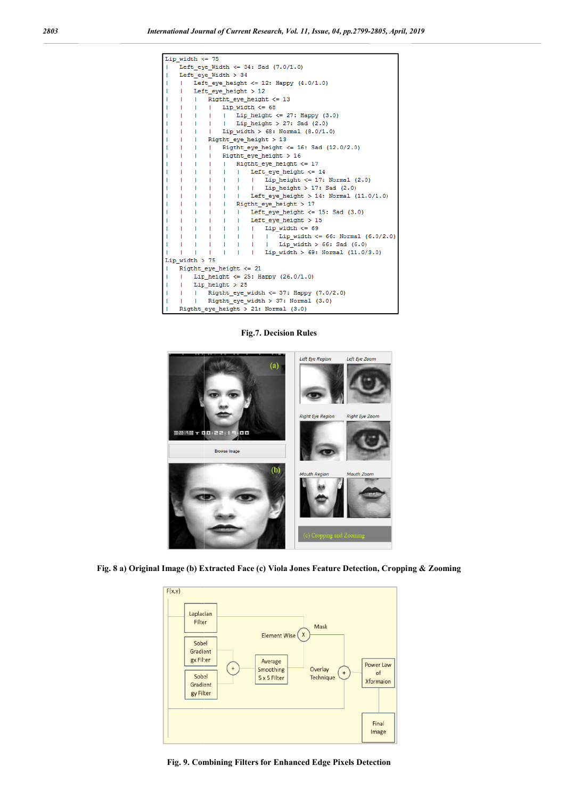| Lip width $\leq$ 75                                                                                                 |                                                                                      |
|---------------------------------------------------------------------------------------------------------------------|--------------------------------------------------------------------------------------|
| Left eye Width $\leq$ 34: Sad (7.0/1.0)                                                                             |                                                                                      |
| Left_eye_Width > 34                                                                                                 |                                                                                      |
| Left eye height $\leq$ 12: Happy (4.0/1.0)                                                                          |                                                                                      |
| Left eye height $>12$<br>п                                                                                          |                                                                                      |
| Rigtht_eye_height <= 13<br>т.                                                                                       |                                                                                      |
| Lip width $<= 68$<br>L<br>-1                                                                                        |                                                                                      |
| Lip_height $\leq$ 27: Happy (3.0)<br>т<br>$\mathbf{1}$<br>т.<br>$\mathbf{L}$                                        |                                                                                      |
| Lip height $> 27$ : Sad (2.0)<br>$\mathbf{1}$<br>т.<br>Τ.                                                           |                                                                                      |
| Lip_width > $68: Normal (8.0/1.0)$<br>$\mathbf{I}$<br>$\mathbf{I}$<br>т                                             |                                                                                      |
| Rigtht_eye_height > 13<br>$\mathbf{1}$<br>п                                                                         |                                                                                      |
| $\mathbf{1}$<br>- 1<br>т                                                                                            | Rigtht eye height $\leq$ 16: Sad (12.0/2.0)                                          |
| $\mathbf{I}$<br>Rigtht_eye_height > 16<br>L<br>$\mathbf{1}$                                                         |                                                                                      |
| Rigtht_eye_height $\leq 17$<br>a Tan<br>a Ta<br>$\mathbf{L}$<br>т                                                   |                                                                                      |
| Left eye height $\leq$ 14<br>$\mathbf{1}$<br>$\mathbf{I}$<br>$\mathbf{I}$<br>$\mathbf{I}$<br>т                      |                                                                                      |
| $\mathbf{1}$<br>$\mathbf{I}$<br>- 12<br>- 12<br>$\mathbf{1}$<br>п                                                   | Lip_height $\leq$ 17: Normal (2.0)                                                   |
| -11<br>a Tan<br>- 12<br>$\mathbf{I}$<br>Т.<br>т<br><b>The State</b><br>$\mathbf{1}$<br>$\mathbf{I}$<br>$\mathbf{1}$ | Lip_height > 17: Sad $(2.0)$<br>Left_eye_height > 14: Normal $(11.0/1.0)$            |
| n Brit<br>n Brit<br>Rigtht_eye_height > 17<br><b>TELEVISION</b><br>т                                                |                                                                                      |
| a Tar<br>a Bar<br>a Bar<br>- 12<br>ш                                                                                | Left_eye_height $\le$ 15: Sad (3.0)                                                  |
| - 12<br>- 12<br>n Brit<br>Left_eye_height > 15<br>$\mathbf{I}$                                                      |                                                                                      |
| $\mathbf{1}$<br>a Tan<br>a Ta<br>a Tan<br>- 12                                                                      | Lip width $\leq$ 69                                                                  |
| т.<br>$\mathbf{L}$<br>- 11<br>$\mathbf{1}$<br>- 1<br>$\mathbf{L}$                                                   | Lip width $\leq$ 66: Normal (6.0/2.0)                                                |
| т<br>т<br>т<br>т<br>Т.<br>т                                                                                         | Lip_width > $66:$ Sad $(6.0)$                                                        |
| T<br>T<br>$\mathbf{1}$<br>т<br>Т<br>٠                                                                               | Lip width > $69: Normal (11.0/3.0)$                                                  |
| Lip width $> 75$                                                                                                    |                                                                                      |
| Rigtht_eye_height <= 21                                                                                             |                                                                                      |
| Lip height $\leq$ 25: Happy (26.0/1.0)<br>٠                                                                         |                                                                                      |
| $Lip$ height $> 25$                                                                                                 |                                                                                      |
| Rigtht eye width $\leq$ 37: Happy (7.0/2.0)<br>Τ.                                                                   |                                                                                      |
| Rigtht_eye_width > 37: Normal (3.0)<br>T.<br>п                                                                      |                                                                                      |
| Rigtht_eye_height > 21: Normal (3.0)                                                                                |                                                                                      |
| <b>Fig.7. Decision Rules</b>                                                                                        |                                                                                      |
| (a)<br>咖啡!!!! ㅜ 다다:ㄹㄹ!<br><b>Browse Image</b>                                                                       | Left Eye Region<br>Left Eye Zoom<br><b>Right Eye Region</b><br><b>Right Eye Zoom</b> |
|                                                                                                                     | <b>Mouth Region</b><br>Mouth Zoom                                                    |

**Fig.7. Decision Rules**



**Fig. 8 a) Original Image (b) Extracted Face (c) Viola Jones Feature Detection, Cropping & Zooming**



**Fig. 9. Combining Filters for Enhanced Edge Pixels Detection**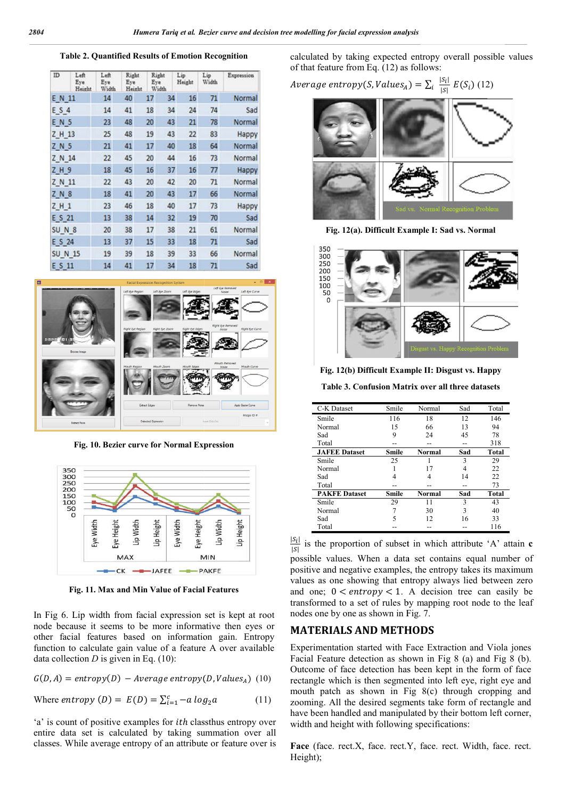**Table 2. Quantified Results of Emotion Recognition**

| ID               | Left<br>Eye<br>Height | Left<br>Eye<br>Width | Right<br>Eye<br>Height | Right<br>Eye<br>Width |    | Lip<br>Height | Lip<br>Width | Expression |
|------------------|-----------------------|----------------------|------------------------|-----------------------|----|---------------|--------------|------------|
| E N 11           |                       | 14                   | 40                     | 17                    | 34 | 16            | 71           | Normal     |
| E S 4            |                       | 14                   | 41                     | 18                    | 34 | 24            | 74           | Sad        |
| EN 5             |                       | 23                   | 48                     | 20                    | 43 | 21            | 78           | Normal     |
| Z H 13           |                       | 25                   | 48                     | 19                    | 43 | 22            | 83           | Happy      |
| Z N 5            |                       | 21                   | 41                     | 17                    | 40 | 18            | 64           | Normal     |
| Z N 14           |                       | 22                   | 45                     | 20                    | 44 | 16            | 73           | Normal     |
| Z H 9            |                       | 18                   | 45                     | 16                    | 37 | 16            | 77           | Happy      |
| Z N 11           |                       | 22                   | 43                     | 20                    | 42 | 20            | 71           | Normal     |
| Z N 8            |                       | 18                   | 41                     | 20                    | 43 | 17            | 66           | Normal     |
| Z H 1            |                       | 23                   | 46                     | 18                    | 40 | 17            | 73           | Happy      |
| E S 21           |                       | 13                   | 38                     | 14                    | 32 | 19            | 70           | Sad        |
| SUN <sup>8</sup> |                       | 20                   | 38                     | 17                    | 38 | 21            | 61           | Normal     |
| E S 24           |                       | 13                   | 37                     | 15                    | 33 | 18            | 71           | Sad        |
| <b>SUN 15</b>    |                       | 19                   | 39                     | 18                    | 39 | 33            | 66           | Normal     |
| E S 11           |                       | 14                   | 41                     | 17                    | 34 | 18            | 71           | Sad        |



**Fig. 10. Bezier curve for Normal Expression**



**Fig. 11. Max and Min Value of Facial Features**

In Fig 6. Lip width from facial expression set is kept at root node because it seems to be more informative then eyes or other facial features based on information gain. E Entropy function to calculate gain value of a feature A over available data collection  $D$  is given in Eq. (10):

$$
G(D, A) = entropy(D) - Average entropy(D, Values_A) (10)
$$

Where *entropy*  $(D) = E(D) = \sum_{i=1}^{c} -a \log_2 a$  (11)

'a' is count of positive examples for *ith* class thus entropy over entire data set is calculated by taking summation over all classes. While average entropy of an attribute or feature over is

calculated by taking expected entropy overall possible values of that feature from Eq. (12) as follows:

*Average entropy*(*S*, *Values*<sub>A</sub>) = 
$$
\sum_i \frac{|S_i|}{|S_i|} E(S_i)
$$
 (12)



**Fig. 12(a). Difficult Example I: Sad vs. Normal**



**Fig. 12(b) Difficult Example II: Disgust vs. Happy**

**Table 3. Confusion Matrix over all three datasets Confusion Matrix** 

| C-K Dataset          | Smile | Normal        | Sad | Total        |
|----------------------|-------|---------------|-----|--------------|
| Smile                | 116   | 18            | 12  | 146          |
| Normal               | 15    | 66            | 13  | 94           |
| Sad                  | 9     | 24            | 45  | 78           |
| Total                |       |               |     | 318          |
| <b>JAFEE</b> Dataset | Smile | <b>Normal</b> | Sad | Total        |
| Smile                | 25    |               | 3   | 29           |
| Normal               |       | 17            | 4   | 22           |
| Sad                  |       | 4             | 14  | 22           |
| Total                |       |               |     | 73           |
| <b>PAKFE Dataset</b> | Smile | <b>Normal</b> | Sad | <b>Total</b> |
| Smile                | 29    | 11            | 3   | 43           |
| Normal               |       | 30            | 3   | 40           |
| Sad                  | 5     | 12            | 16  | 33           |
| Total                |       |               |     | 116          |

 $|S_i|$  $\frac{|\mathcal{S}_1|}{|\mathcal{S}|}$  is the proportion of subset in which attribute 'A' attain **c** possible values. When a data set contains equal number of possible values. When a data set contains equal number of positive and negative examples, the entropy takes its maximum values as one showing that entropy always lied between zero and one;  $0 < entropy < 1$ . A decision tree can easily be transformed to a set of rules by mapping root node to the leaf nodes one by one as shown in Fig. 7. one showing that entropy always lied bet  $0 < entropy < 1$ . A decision tree can ed to a set of rules by mapping root node by one as shown in Fig. 7.

## **MATERIALS AND METHODS METHODS**

Experimentation started with Face Extraction and Viola jones Facial Feature detection as shown in Fig 8 (a) and Fig 8 (b). Outcome of face detection has been kept in the form of face Facial Feature detection as shown in Fig 8 (a) and Fig 8 (b).<br>Outcome of face detection has been kept in the form of face<br>rectangle which is then segmented into left eye, right eye and mouth patch as shown in Fig 8(c) through cropping and zooming. All the desired segments take form of rectangle and have been handled and manipulated by their bottom left corner, width and height with following specifications: patch as shown in Fig 8(c) through cropping and g. All the desired segments take form of rectangle and en handled and manipulated by their bottom left corner, and height with following specifications:

Face (face. rect.X, face. rect.Y, face. rect. Width, face. rect. Height);